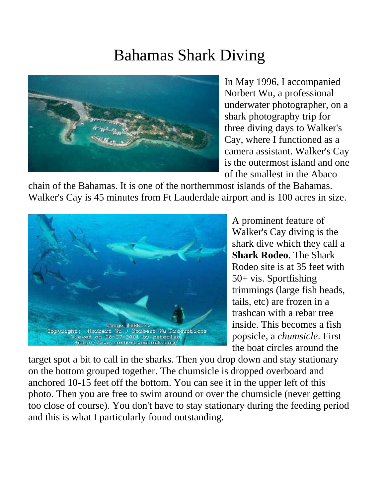## Bahamas Shark Diving



In May 1996, I accompanied Norbert Wu, a professional underwater photographer, on a shark photography trip for three diving days to Walker's Cay, where I functioned as a camera assistant. Walker's Cay is the outermost island and one of the smallest in the Abaco

chain of the Bahamas. It is one of the northernmost islands of the Bahamas. Walker's Cay is 45 minutes from Ft Lauderdale airport and is 100 acres in size.



A prominent feature of Walker's Cay diving is the shark dive which they call a **Shark Rodeo**. The Shark Rodeo site is at 35 feet with 50+ vis. Sportfishing trimmings (large fish heads, tails, etc) are frozen in a trashcan with a rebar tree inside. This becomes a fish popsicle, a *chumsicle*. First the boat circles around the

target spot a bit to call in the sharks. Then you drop down and stay stationary on the bottom grouped together. The chumsicle is dropped overboard and anchored 10-15 feet off the bottom. You can see it in the upper left of this photo. Then you are free to swim around or over the chumsicle (never getting too close of course). You don't have to stay stationary during the feeding period and this is what I particularly found outstanding.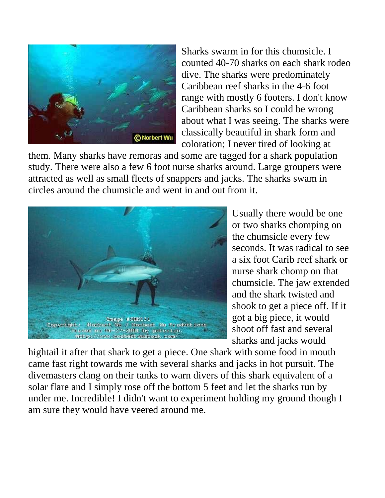

Sharks swarm in for this chumsicle. I counted 40-70 sharks on each shark rodeo dive. The sharks were predominately Caribbean reef sharks in the 4-6 foot range with mostly 6 footers. I don't know Caribbean sharks so I could be wrong about what I was seeing. The sharks were classically beautiful in shark form and coloration; I never tired of looking at

them. Many sharks have remoras and some are tagged for a shark population study. There were also a few 6 foot nurse sharks around. Large groupers were attracted as well as small fleets of snappers and jacks. The sharks swam in circles around the chumsicle and went in and out from it.



Usually there would be one or two sharks chomping on the chumsicle every few seconds. It was radical to see a six foot Carib reef shark or nurse shark chomp on that chumsicle. The jaw extended and the shark twisted and shook to get a piece off. If it got a big piece, it would shoot off fast and several sharks and jacks would

hightail it after that shark to get a piece. One shark with some food in mouth came fast right towards me with several sharks and jacks in hot pursuit. The divemasters clang on their tanks to warn divers of this shark equivalent of a solar flare and I simply rose off the bottom 5 feet and let the sharks run by under me. Incredible! I didn't want to experiment holding my ground though I am sure they would have veered around me.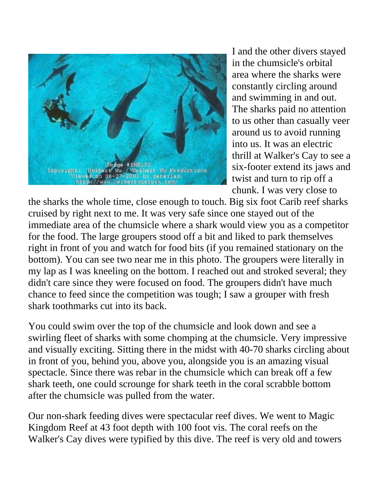

I and the other divers stayed in the chumsicle's orbital area where the sharks were constantly circling around and swimming in and out. The sharks paid no attention to us other than casually veer around us to avoid running into us. It was an electric thrill at Walker's Cay to see a six-footer extend its jaws and twist and turn to rip off a chunk. I was very close to

the sharks the whole time, close enough to touch. Big six foot Carib reef sharks cruised by right next to me. It was very safe since one stayed out of the immediate area of the chumsicle where a shark would view you as a competitor for the food. The large groupers stood off a bit and liked to park themselves right in front of you and watch for food bits (if you remained stationary on the bottom). You can see two near me in this photo. The groupers were literally in my lap as I was kneeling on the bottom. I reached out and stroked several; they didn't care since they were focused on food. The groupers didn't have much chance to feed since the competition was tough; I saw a grouper with fresh shark toothmarks cut into its back.

You could swim over the top of the chumsicle and look down and see a swirling fleet of sharks with some chomping at the chumsicle. Very impressive and visually exciting. Sitting there in the midst with 40-70 sharks circling about in front of you, behind you, above you, alongside you is an amazing visual spectacle. Since there was rebar in the chumsicle which can break off a few shark teeth, one could scrounge for shark teeth in the coral scrabble bottom after the chumsicle was pulled from the water.

Our non-shark feeding dives were spectacular reef dives. We went to Magic Kingdom Reef at 43 foot depth with 100 foot vis. The coral reefs on the Walker's Cay dives were typified by this dive. The reef is very old and towers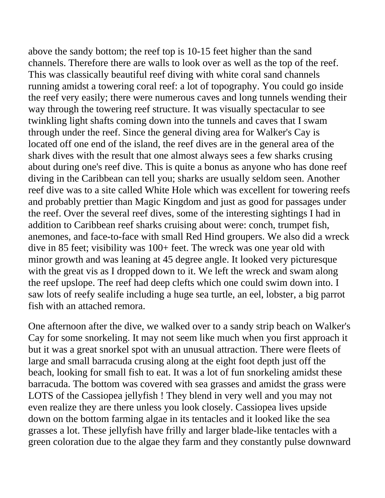above the sandy bottom; the reef top is 10-15 feet higher than the sand channels. Therefore there are walls to look over as well as the top of the reef. This was classically beautiful reef diving with white coral sand channels running amidst a towering coral reef: a lot of topography. You could go inside the reef very easily; there were numerous caves and long tunnels wending their way through the towering reef structure. It was visually spectacular to see twinkling light shafts coming down into the tunnels and caves that I swam through under the reef. Since the general diving area for Walker's Cay is located off one end of the island, the reef dives are in the general area of the shark dives with the result that one almost always sees a few sharks crusing about during one's reef dive. This is quite a bonus as anyone who has done reef diving in the Caribbean can tell you; sharks are usually seldom seen. Another reef dive was to a site called White Hole which was excellent for towering reefs and probably prettier than Magic Kingdom and just as good for passages under the reef. Over the several reef dives, some of the interesting sightings I had in addition to Caribbean reef sharks cruising about were: conch, trumpet fish, anemones, and face-to-face with small Red Hind groupers. We also did a wreck dive in 85 feet; visibility was 100+ feet. The wreck was one year old with minor growth and was leaning at 45 degree angle. It looked very picturesque with the great vis as I dropped down to it. We left the wreck and swam along the reef upslope. The reef had deep clefts which one could swim down into. I saw lots of reefy sealife including a huge sea turtle, an eel, lobster, a big parrot fish with an attached remora.

One afternoon after the dive, we walked over to a sandy strip beach on Walker's Cay for some snorkeling. It may not seem like much when you first approach it but it was a great snorkel spot with an unusual attraction. There were fleets of large and small barracuda crusing along at the eight foot depth just off the beach, looking for small fish to eat. It was a lot of fun snorkeling amidst these barracuda. The bottom was covered with sea grasses and amidst the grass were LOTS of the Cassiopea jellyfish ! They blend in very well and you may not even realize they are there unless you look closely. Cassiopea lives upside down on the bottom farming algae in its tentacles and it looked like the sea grasses a lot. These jellyfish have frilly and larger blade-like tentacles with a green coloration due to the algae they farm and they constantly pulse downward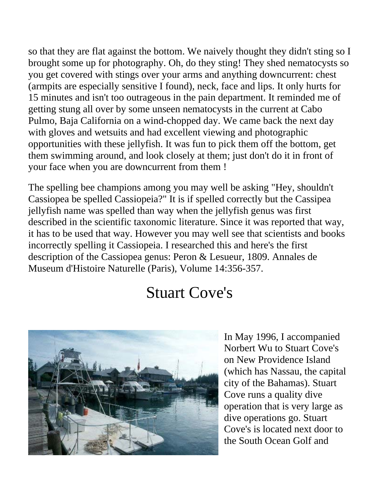so that they are flat against the bottom. We naively thought they didn't sting so I brought some up for photography. Oh, do they sting! They shed nematocysts so you get covered with stings over your arms and anything downcurrent: chest (armpits are especially sensitive I found), neck, face and lips. It only hurts for 15 minutes and isn't too outrageous in the pain department. It reminded me of getting stung all over by some unseen nematocysts in the current at Cabo Pulmo, Baja California on a wind-chopped day. We came back the next day with gloves and wetsuits and had excellent viewing and photographic opportunities with these jellyfish. It was fun to pick them off the bottom, get them swimming around, and look closely at them; just don't do it in front of your face when you are downcurrent from them !

The spelling bee champions among you may well be asking "Hey, shouldn't Cassiopea be spelled Cassiopeia?" It is if spelled correctly but the Cassipea jellyfish name was spelled than way when the jellyfish genus was first described in the scientific taxonomic literature. Since it was reported that way, it has to be used that way. However you may well see that scientists and books incorrectly spelling it Cassiopeia. I researched this and here's the first description of the Cassiopea genus: Peron & Lesueur, 1809. Annales de Museum d'Histoire Naturelle (Paris), Volume 14:356-357.

## Stuart Cove's



In May 1996, I accompanied Norbert Wu to Stuart Cove's on New Providence Island (which has Nassau, the capital city of the Bahamas). Stuart Cove runs a quality dive operation that is very large as dive operations go. Stuart Cove's is located next door to the South Ocean Golf and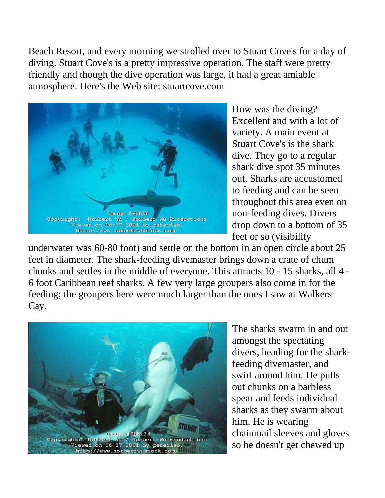Beach Resort, and every morning we strolled over to Stuart Cove's for a day of diving. Stuart Cove's is a pretty impressive operation. The staff were pretty friendly and though the dive operation was large, it had a great amiable atmosphere. Here's the Web site: stuartcove.com



How was the diving? Excellent and with a lot of variety. A main event at Stuart Cove's is the shark dive. They go to a regular shark dive spot 35 minutes out. Sharks are accustomed to feeding and can be seen throughout this area even on non-feeding dives. Divers drop down to a bottom of 35 feet or so (visibility

underwater was 60-80 foot) and settle on the bottom in an open circle about 25 feet in diameter. The shark-feeding divemaster brings down a crate of chum chunks and settles in the middle of everyone. This attracts 10 - 15 sharks, all 4 - 6 foot Caribbean reef sharks. A few very large groupers also come in for the feeding; the groupers here were much larger than the ones I saw at Walkers Cay.



The sharks swarm in and out amongst the spectating divers, heading for the sharkfeeding divemaster, and swirl around him. He pulls out chunks on a barbless spear and feeds individual sharks as they swarm about him. He is wearing chainmail sleeves and gloves so he doesn't get chewed up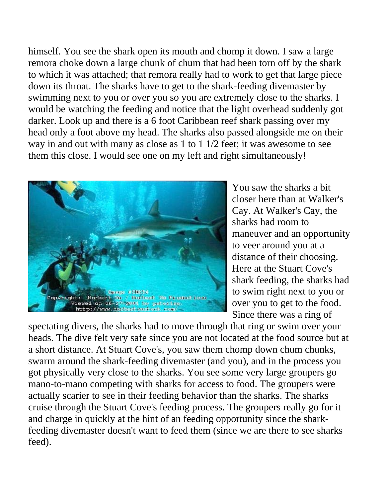himself. You see the shark open its mouth and chomp it down. I saw a large remora choke down a large chunk of chum that had been torn off by the shark to which it was attached; that remora really had to work to get that large piece down its throat. The sharks have to get to the shark-feeding divemaster by swimming next to you or over you so you are extremely close to the sharks. I would be watching the feeding and notice that the light overhead suddenly got darker. Look up and there is a 6 foot Caribbean reef shark passing over my head only a foot above my head. The sharks also passed alongside me on their way in and out with many as close as 1 to 1 1/2 feet; it was awesome to see them this close. I would see one on my left and right simultaneously!



You saw the sharks a bit closer here than at Walker's Cay. At Walker's Cay, the sharks had room to maneuver and an opportunity to veer around you at a distance of their choosing. Here at the Stuart Cove's shark feeding, the sharks had to swim right next to you or over you to get to the food. Since there was a ring of

spectating divers, the sharks had to move through that ring or swim over your heads. The dive felt very safe since you are not located at the food source but at a short distance. At Stuart Cove's, you saw them chomp down chum chunks, swarm around the shark-feeding divemaster (and you), and in the process you got physically very close to the sharks. You see some very large groupers go mano-to-mano competing with sharks for access to food. The groupers were actually scarier to see in their feeding behavior than the sharks. The sharks cruise through the Stuart Cove's feeding process. The groupers really go for it and charge in quickly at the hint of an feeding opportunity since the sharkfeeding divemaster doesn't want to feed them (since we are there to see sharks feed).